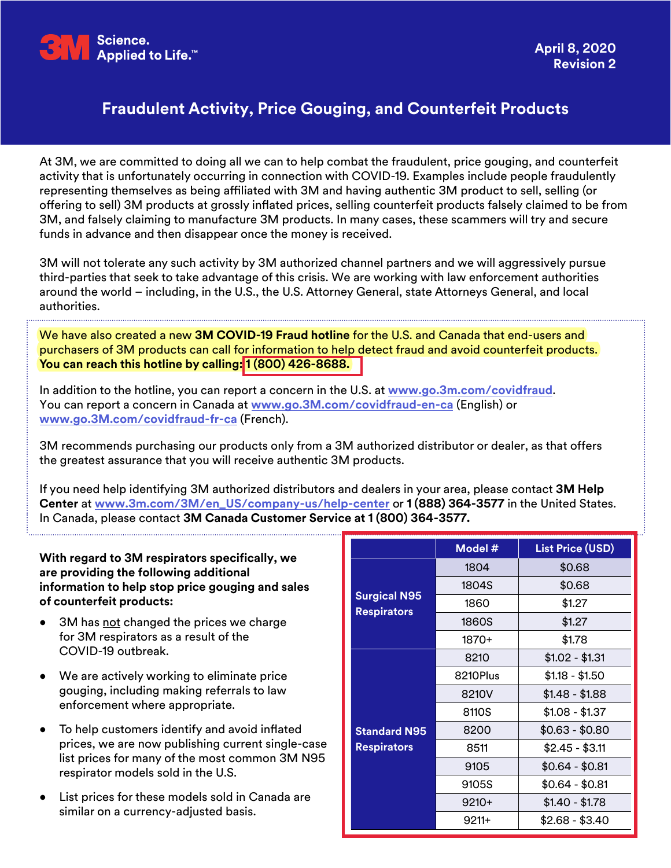

## **Fraudulent Activity, Price Gouging, and Counterfeit Products**

At 3M, we are committed to doing all we can to help combat the fraudulent, price gouging, and counterfeit activity that is unfortunately occurring in connection with COVID-19. Examples include people fraudulently representing themselves as being affiliated with 3M and having authentic 3M product to sell, selling (or offering to sell) 3M products at grossly inflated prices, selling counterfeit products falsely claimed to be from 3M, and falsely claiming to manufacture 3M products. In many cases, these scammers will try and secure funds in advance and then disappear once the money is received.

3M will not tolerate any such activity by 3M authorized channel partners and we will aggressively pursue third-parties that seek to take advantage of this crisis. We are working with law enforcement authorities around the world – including, in the U.S., the U.S. Attorney General, state Attorneys General, and local authorities.

We have also created a new **3M COVID-19 Fraud hotline** for the U.S. and Canada that end-users and purchasers of 3M products can call for information to help detect fraud and avoid counterfeit products. **You can reach this hotline by calling: 1 (800) 426-8688.**

In addition to the hotline, you can report a concern in the U.S. at **www.go.[3m.com/covidfraud](www.go.3m.com/covidfraud)**. You can report a concern in Canada at **www.go[.3M.com/covidfraud-en-ca](www.go.3M.com/covidfraud-en-ca)** (English) or **<www.go.3M.com/covidfraud-fr-ca>** (French).

3M recommends purchasing our products only from a 3M authorized distributor or dealer, as that offers the greatest assurance that you will receive authentic 3M products.

If you need help identifying 3M authorized distributors and dealers in your area, please contact **3M Help Center** at **[www.3m.com/3M/en\\_US/company-us/help-center](http://www.3m.com/3M/en_US/company-us/help-center)** or **1 (888) 364-3577** in the United States. In Canada, please contact **3M Canada Customer Service at 1 (800) 364-3577.**

## **With regard to 3M respirators specifically, we are providing the following additional information to help stop price gouging and sales of counterfeit products:**

- 3M has not changed the prices we charge for 3M respirators as a result of the COVID-19 outbreak.
- We are actively working to eliminate price gouging, including making referrals to law enforcement where appropriate.
- To help customers identify and avoid inflated prices, we are now publishing current single-case list prices for many of the most common 3M N95 respirator models sold in the U.S.
- List prices for these models sold in Canada are similar on a currency-adjusted basis.

|                                           | Model #  | <b>List Price (USD)</b> |
|-------------------------------------------|----------|-------------------------|
| <b>Surgical N95</b><br><b>Respirators</b> | 1804     | \$0.68                  |
|                                           | 1804S    | \$0.68                  |
|                                           | 1860     | \$1.27                  |
|                                           | 1860S    | \$1.27                  |
|                                           | 1870+    | \$1.78                  |
|                                           | 8210     | $$1.02 - $1.31$         |
|                                           | 8210Plus | $$1.18 - $1.50$         |
|                                           | 8210V    | $$1.48 - $1.88$         |
|                                           | 8110S    | $$1.08 - $1.37$         |
| <b>Standard N95</b>                       | 8200     | $$0.63 - $0.80$         |
| <b>Respirators</b>                        | 8511     | $$2.45 - $3.11$         |
|                                           | 9105     | $$0.64 - $0.81$         |
|                                           | 9105S    | $$0.64 - $0.81$         |
|                                           | $9210+$  | $$1.40 - $1.78$         |
|                                           | $9211+$  | $$2.68 - $3.40$         |